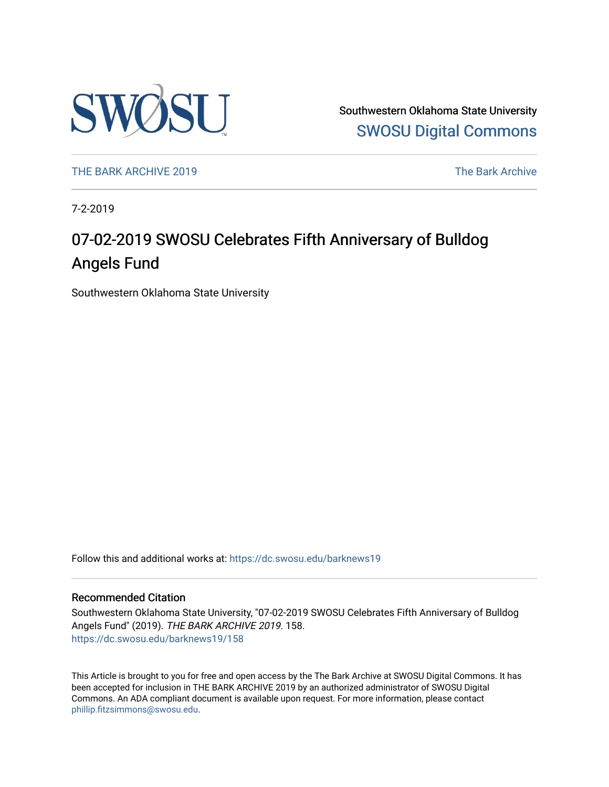

Southwestern Oklahoma State University [SWOSU Digital Commons](https://dc.swosu.edu/) 

[THE BARK ARCHIVE 2019](https://dc.swosu.edu/barknews19) The Bark Archive

7-2-2019

## 07-02-2019 SWOSU Celebrates Fifth Anniversary of Bulldog Angels Fund

Southwestern Oklahoma State University

Follow this and additional works at: [https://dc.swosu.edu/barknews19](https://dc.swosu.edu/barknews19?utm_source=dc.swosu.edu%2Fbarknews19%2F158&utm_medium=PDF&utm_campaign=PDFCoverPages)

#### Recommended Citation

Southwestern Oklahoma State University, "07-02-2019 SWOSU Celebrates Fifth Anniversary of Bulldog Angels Fund" (2019). THE BARK ARCHIVE 2019. 158. [https://dc.swosu.edu/barknews19/158](https://dc.swosu.edu/barknews19/158?utm_source=dc.swosu.edu%2Fbarknews19%2F158&utm_medium=PDF&utm_campaign=PDFCoverPages)

This Article is brought to you for free and open access by the The Bark Archive at SWOSU Digital Commons. It has been accepted for inclusion in THE BARK ARCHIVE 2019 by an authorized administrator of SWOSU Digital Commons. An ADA compliant document is available upon request. For more information, please contact [phillip.fitzsimmons@swosu.edu](mailto:phillip.fitzsimmons@swosu.edu).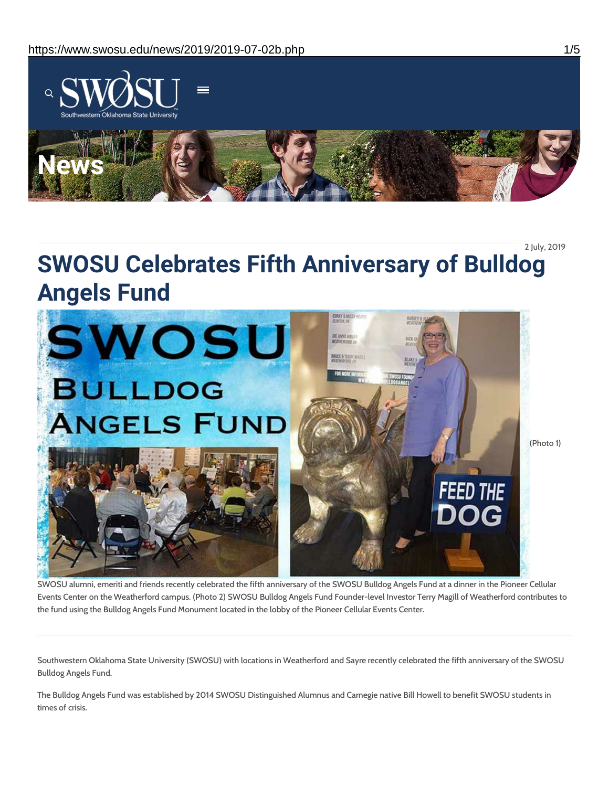

2 July, 2019

# **SWOSU Celebrates Fifth Anniversary of Bulldog Angels Fund**



SWOSU alumni, emeriti and friends recently celebrated the fifth anniversary of the SWOSU Bulldog Angels Fund at a dinner in the Pioneer Cellular Events Center on the Weatherford campus. (Photo 2) SWOSU Bulldog Angels Fund Founder-level Investor Terry Magill of Weatherford contributes to the fund using the Bulldog Angels Fund Monument located in the lobby of the Pioneer Cellular Events Center.

Southwestern Oklahoma State University (SWOSU) with locations in Weatherford and Sayre recently celebrated the fifth anniversary of the SWOSU Bulldog Angels Fund.

The Bulldog Angels Fund was established by 2014 SWOSU Distinguished Alumnus and Carnegie native Bill Howell to benefit SWOSU students in times of crisis.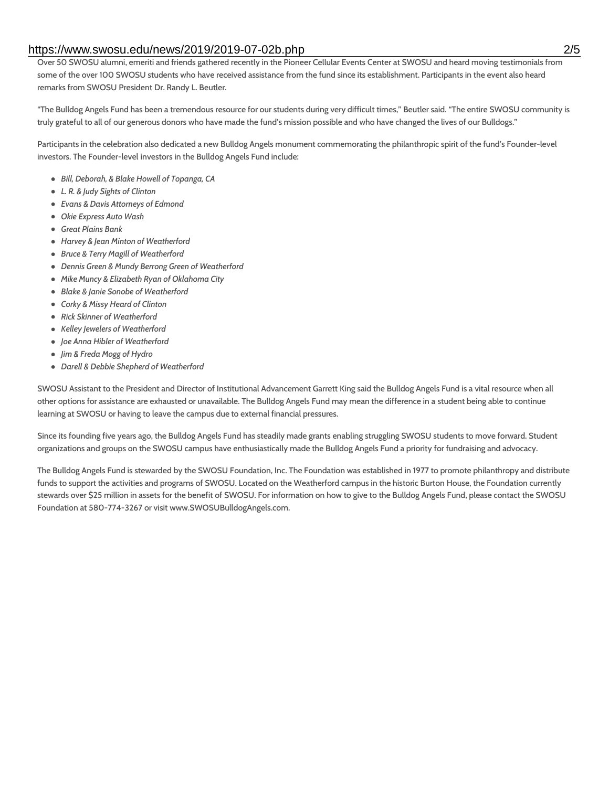#### https://www.swosu.edu/news/2019/2019-07-02b.php 2/5

Over 50 SWOSU alumni, emeriti and friends gathered recently in the Pioneer Cellular Events Center at SWOSU and heard moving testimonials from some of the over 100 SWOSU students who have received assistance from the fund since its establishment. Participants in the event also heard remarks from SWOSU President Dr. Randy L. Beutler.

"The Bulldog Angels Fund has been a tremendous resource for our students during very difficult times," Beutler said. "The entire SWOSU community is truly grateful to all of our generous donors who have made the fund's mission possible and who have changed the lives of our Bulldogs."

Participants in the celebration also dedicated a new Bulldog Angels monument commemorating the philanthropic spirit of the fund's Founder-level investors. The Founder-level investors in the Bulldog Angels Fund include:

- *Bill, Deborah, & Blake Howell of Topanga, CA*
- *L. R. & Judy Sights of Clinton*
- *Evans & Davis Attorneys of Edmond*
- *Okie Express Auto Wash*
- *Great Plains Bank*
- *Harvey & Jean Minton of Weatherford*
- *Bruce & Terry Magill of Weatherford*
- *Dennis Green & Mundy Berrong Green of Weatherford*
- *Mike Muncy & Elizabeth Ryan of Oklahoma City*
- *Blake & Janie Sonobe of Weatherford*
- *Corky & Missy Heard of Clinton*
- *Rick Skinner of Weatherford*
- *Kelley Jewelers of Weatherford*
- *Joe Anna Hibler of Weatherford*
- *Jim & Freda Mogg of Hydro*
- *Darell & Debbie Shepherd of Weatherford*

SWOSU Assistant to the President and Director of Institutional Advancement Garrett King said the Bulldog Angels Fund is a vital resource when all other options for assistance are exhausted or unavailable. The Bulldog Angels Fund may mean the difference in a student being able to continue learning at SWOSU or having to leave the campus due to external financial pressures.

Since its founding five years ago, the Bulldog Angels Fund has steadily made grants enabling struggling SWOSU students to move forward. Student organizations and groups on the SWOSU campus have enthusiastically made the Bulldog Angels Fund a priority for fundraising and advocacy.

The Bulldog Angels Fund is stewarded by the SWOSU Foundation, Inc. The Foundation was established in 1977 to promote philanthropy and distribute funds to support the activities and programs of SWOSU. Located on the Weatherford campus in the historic Burton House, the Foundation currently stewards over \$25 million in assets for the benefit of SWOSU. For information on how to give to the Bulldog Angels Fund, please contact the SWOSU Foundation at 580-774-3267 or visit www.SWOSUBulldogAngels.com.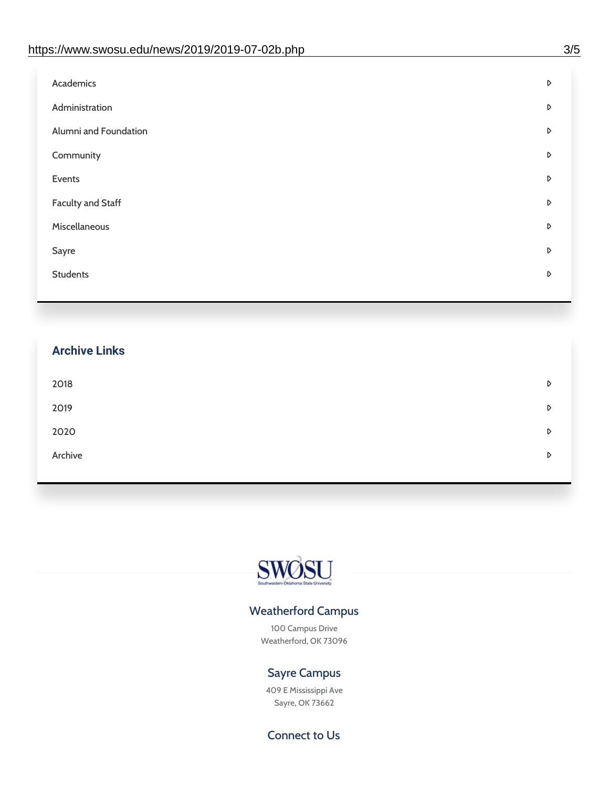| D |
|---|
| D |
| D |
| D |
| D |
| D |
| D |
| D |
| D |
|   |

# **Archive Links**  $2018$  $2019$ [2020](https://www.swosu.edu/news/2020/index.php)  $\bullet$ [Archive](https://dc.swosu.edu/bark/) **Archive Archive Archive Archive Archive** Archive Archive Archive Archive Archive Archive Archive Archive



### Weatherford Campus

100 Campus Drive Weatherford, OK 73096

### Sayre Campus

409 E Mississippi Ave Sayre, OK 73662

Connect to Us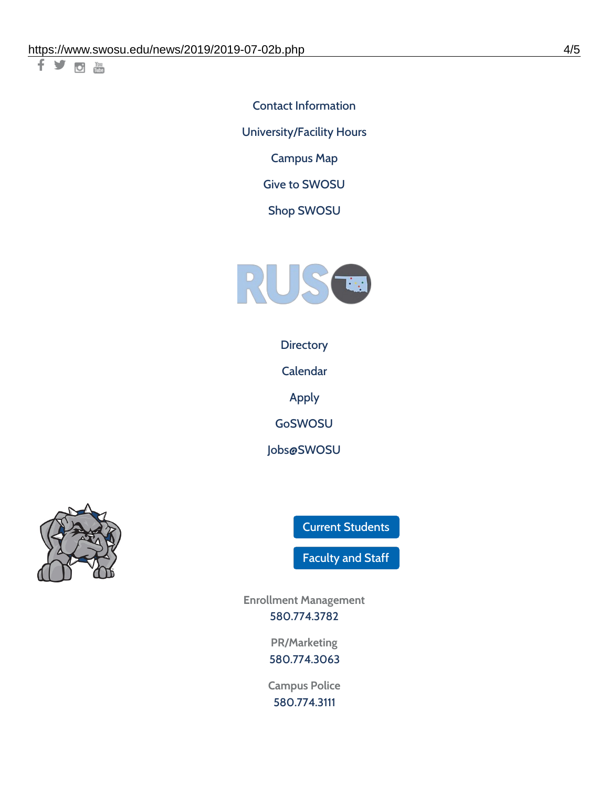十岁回调

Contact [Information](https://www.swosu.edu/about/contact.php)

[University/Facility](https://www.swosu.edu/about/operating-hours.php) Hours

[Campus](https://map.concept3d.com/?id=768#!ct/10964,10214,10213,10212,10205,10204,10203,10202,10136,10129,10128,0,31226,10130,10201,10641,0) Map

Give to [SWOSU](https://standingfirmly.com/donate)

Shop [SWOSU](https://shopswosu.merchorders.com/)



**[Directory](https://www.swosu.edu/directory/index.php)** 

[Calendar](https://eventpublisher.dudesolutions.com/swosu/)

[Apply](https://www.swosu.edu/admissions/apply-to-swosu.php)

[GoSWOSU](https://qlsso.quicklaunchsso.com/home/1267)

[Jobs@SWOSU](https://swosu.csod.com/ux/ats/careersite/1/home?c=swosu)



Current [Students](https://bulldog.swosu.edu/index.php)

[Faculty](https://bulldog.swosu.edu/faculty-staff/index.php) and Staff

**Enrollment Management** [580.774.3782](tel:5807743782)

> **PR/Marketing** [580.774.3063](tel:5807743063)

**Campus Police** [580.774.3111](tel:5807743111)